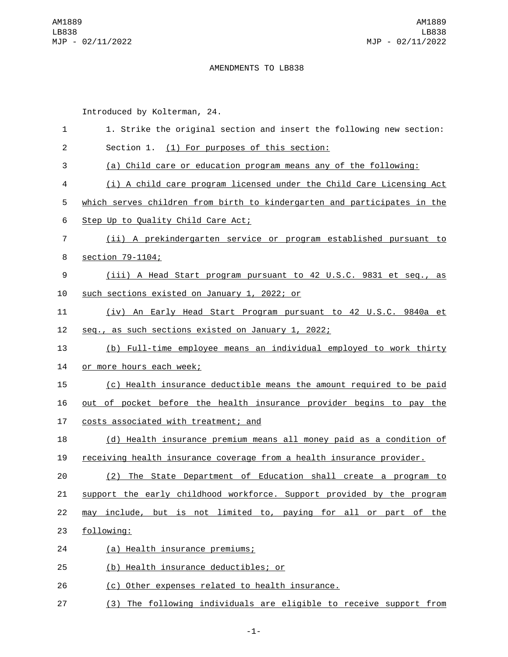## AMENDMENTS TO LB838

Introduced by Kolterman, 24.

| 1              | 1. Strike the original section and insert the following new section:     |
|----------------|--------------------------------------------------------------------------|
| $\overline{c}$ | Section 1. (1) For purposes of this section:                             |
| 3              | (a) Child care or education program means any of the following:          |
| 4              | (i) A child care program licensed under the Child Care Licensing Act     |
| 5              | which serves children from birth to kindergarten and participates in the |
| 6              | Step Up to Quality Child Care Act;                                       |
| $\overline{7}$ | (ii) A prekindergarten service or program established pursuant to        |
| 8              | section 79-1104;                                                         |
| 9              | (iii) A Head Start program pursuant to 42 U.S.C. 9831 et seq., as        |
| 10             | such sections existed on January 1, 2022; or                             |
| 11             | (iv) An Early Head Start Program pursuant to 42 U.S.C. 9840a et          |
| 12             | seq., as such sections existed on January 1, 2022;                       |
| 13             | (b) Full-time employee means an individual employed to work thirty       |
| 14             | or more hours each week;                                                 |
| 15             | (c) Health insurance deductible means the amount required to be paid     |
| 16             | out of pocket before the health insurance provider begins to pay the     |
| 17             | costs associated with treatment; and                                     |
| 18             | (d) Health insurance premium means all money paid as a condition of      |
| 19             | receiving health insurance coverage from a health insurance provider.    |
| 20             | The State Department of Education shall create a program to<br>(2)       |
| 21             | support the early childhood workforce. Support provided by the program   |
| 22             | may include, but is not limited to, paying for all or part of the        |
| 23             | following:                                                               |
| 24             | (a) Health insurance premiums;                                           |
| 25             | (b) Health insurance deductibles; or                                     |
| 26             | (c) Other expenses related to health insurance.                          |
| 27             | (3) The following individuals are eligible to receive support from       |